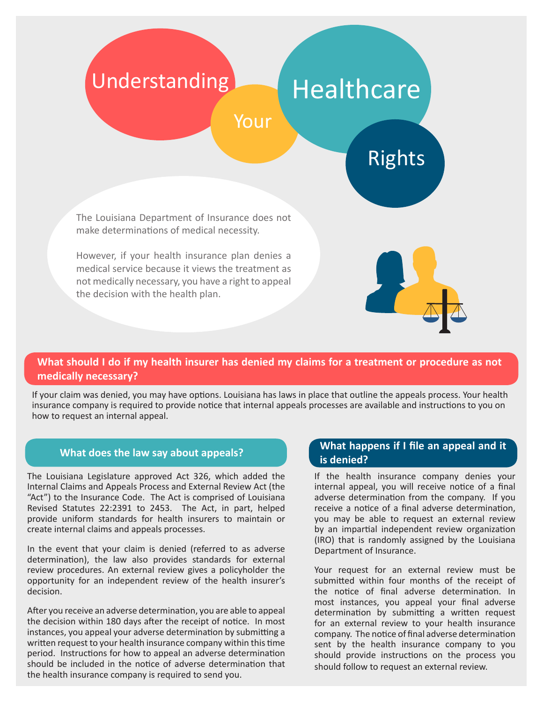

# **What should I do if my health insurer has denied my claims for a treatment or procedure as not medically necessary?**

If your claim was denied, you may have options. Louisiana has laws in place that outline the appeals process. Your health insurance company is required to provide notice that internal appeals processes are available and instructions to you on how to request an internal appeal.

#### **What does the law say about appeals?**

The Louisiana Legislature approved Act 326, which added the Internal Claims and Appeals Process and External Review Act (the "Act") to the Insurance Code. The Act is comprised of Louisiana Revised Statutes 22:2391 to 2453. The Act, in part, helped provide uniform standards for health insurers to maintain or create internal claims and appeals processes.

In the event that your claim is denied (referred to as adverse determination), the law also provides standards for external review procedures. An external review gives a policyholder the opportunity for an independent review of the health insurer's decision.

After you receive an adverse determination, you are able to appeal the decision within 180 days after the receipt of notice. In most instances, you appeal your adverse determination by submitting a written request to your health insurance company within this time period. Instructions for how to appeal an adverse determination should be included in the notice of adverse determination that the health insurance company is required to send you.

## **What happens if I file an appeal and it is denied?**

If the health insurance company denies your internal appeal, you will receive notice of a final adverse determination from the company. If you receive a notice of a final adverse determination, you may be able to request an external review by an impartial independent review organization (IRO) that is randomly assigned by the Louisiana Department of Insurance.

Your request for an external review must be submitted within four months of the receipt of the notice of final adverse determination. In most instances, you appeal your final adverse determination by submitting a written request for an external review to your health insurance company. The notice of final adverse determination sent by the health insurance company to you should provide instructions on the process you should follow to request an external review.